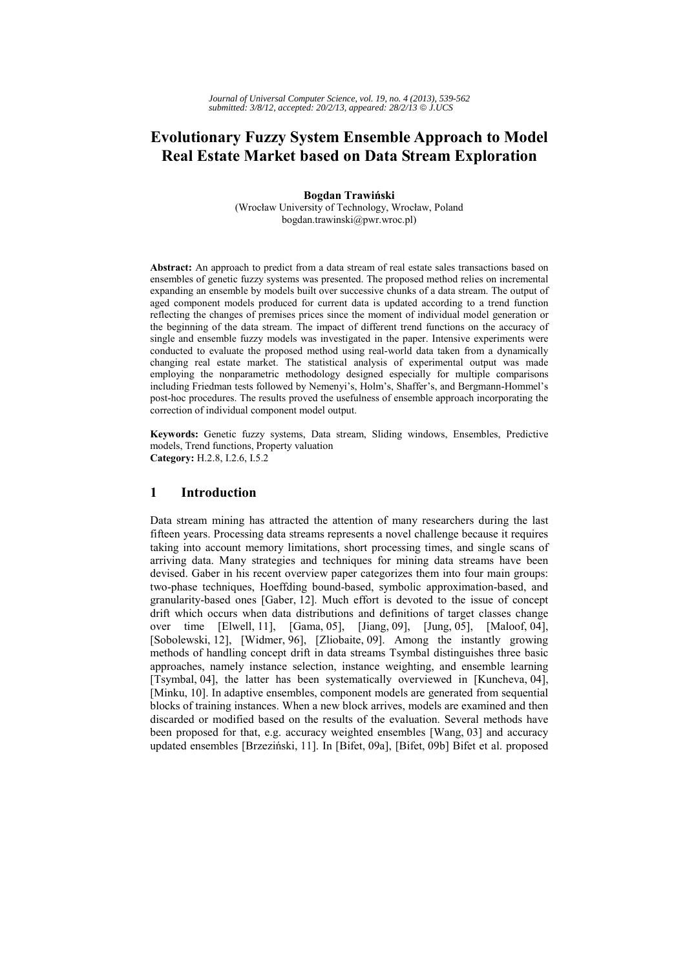# **Evolutionary Fuzzy System Ensemble Approach to Model Real Estate Market based on Data Stream Exploration**

**Bogdan Trawiński**  (Wrocław University of Technology, Wrocław, Poland bogdan.trawinski@pwr.wroc.pl)

**Abstract:** An approach to predict from a data stream of real estate sales transactions based on ensembles of genetic fuzzy systems was presented. The proposed method relies on incremental expanding an ensemble by models built over successive chunks of a data stream. The output of aged component models produced for current data is updated according to a trend function reflecting the changes of premises prices since the moment of individual model generation or the beginning of the data stream. The impact of different trend functions on the accuracy of single and ensemble fuzzy models was investigated in the paper. Intensive experiments were conducted to evaluate the proposed method using real-world data taken from a dynamically changing real estate market. The statistical analysis of experimental output was made employing the nonparametric methodology designed especially for multiple comparisons including Friedman tests followed by Nemenyi's, Holm's, Shaffer's, and Bergmann-Hommel's post-hoc procedures. The results proved the usefulness of ensemble approach incorporating the correction of individual component model output.

**Keywords:** Genetic fuzzy systems, Data stream, Sliding windows, Ensembles, Predictive models, Trend functions, Property valuation **Category:** H.2.8, I.2.6, I.5.2

## **1 Introduction**

Data stream mining has attracted the attention of many researchers during the last fifteen years. Processing data streams represents a novel challenge because it requires taking into account memory limitations, short processing times, and single scans of arriving data. Many strategies and techniques for mining data streams have been devised. Gaber in his recent overview paper categorizes them into four main groups: two-phase techniques, Hoeffding bound-based, symbolic approximation-based, and granularity-based ones [Gaber, 12]. Much effort is devoted to the issue of concept drift which occurs when data distributions and definitions of target classes change over time [Elwell, 11], [Gama, 05], [Jiang, 09], [Jung, 05], [Maloof, 04], [Sobolewski, 12], [Widmer, 96], [Zliobaite, 09]. Among the instantly growing methods of handling concept drift in data streams Tsymbal distinguishes three basic approaches, namely instance selection, instance weighting, and ensemble learning [Tsymbal, 04], the latter has been systematically overviewed in [Kuncheva, 04], [Minku, 10]. In adaptive ensembles, component models are generated from sequential blocks of training instances. When a new block arrives, models are examined and then discarded or modified based on the results of the evaluation. Several methods have been proposed for that, e.g. accuracy weighted ensembles [Wang, 03] and accuracy updated ensembles [Brzeziński, 11]. In [Bifet, 09a], [Bifet, 09b] Bifet et al. proposed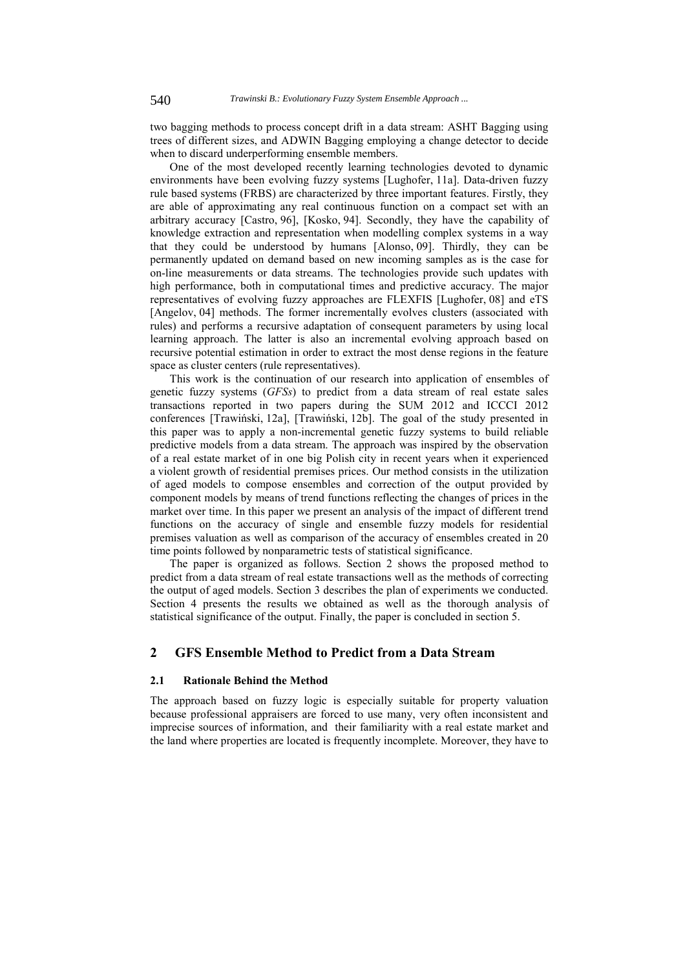two bagging methods to process concept drift in a data stream: ASHT Bagging using trees of different sizes, and ADWIN Bagging employing a change detector to decide when to discard underperforming ensemble members.

One of the most developed recently learning technologies devoted to dynamic environments have been evolving fuzzy systems [Lughofer, 11a]. Data-driven fuzzy rule based systems (FRBS) are characterized by three important features. Firstly, they are able of approximating any real continuous function on a compact set with an arbitrary accuracy [Castro, 96], [Kosko, 94]. Secondly, they have the capability of knowledge extraction and representation when modelling complex systems in a way that they could be understood by humans [Alonso, 09]. Thirdly, they can be permanently updated on demand based on new incoming samples as is the case for on-line measurements or data streams. The technologies provide such updates with high performance, both in computational times and predictive accuracy. The major representatives of evolving fuzzy approaches are FLEXFIS [Lughofer, 08] and eTS [Angelov, 04] methods. The former incrementally evolves clusters (associated with rules) and performs a recursive adaptation of consequent parameters by using local learning approach. The latter is also an incremental evolving approach based on recursive potential estimation in order to extract the most dense regions in the feature space as cluster centers (rule representatives).

This work is the continuation of our research into application of ensembles of genetic fuzzy systems (*GFSs*) to predict from a data stream of real estate sales transactions reported in two papers during the SUM 2012 and ICCCI 2012 conferences [Trawiński, 12a], [Trawiński, 12b]. The goal of the study presented in this paper was to apply a non-incremental genetic fuzzy systems to build reliable predictive models from a data stream. The approach was inspired by the observation of a real estate market of in one big Polish city in recent years when it experienced a violent growth of residential premises prices. Our method consists in the utilization of aged models to compose ensembles and correction of the output provided by component models by means of trend functions reflecting the changes of prices in the market over time. In this paper we present an analysis of the impact of different trend functions on the accuracy of single and ensemble fuzzy models for residential premises valuation as well as comparison of the accuracy of ensembles created in 20 time points followed by nonparametric tests of statistical significance.

The paper is organized as follows. Section 2 shows the proposed method to predict from a data stream of real estate transactions well as the methods of correcting the output of aged models. Section 3 describes the plan of experiments we conducted. Section 4 presents the results we obtained as well as the thorough analysis of statistical significance of the output. Finally, the paper is concluded in section 5.

### **2 GFS Ensemble Method to Predict from a Data Stream**

#### **2.1 Rationale Behind the Method**

The approach based on fuzzy logic is especially suitable for property valuation because professional appraisers are forced to use many, very often inconsistent and imprecise sources of information, and their familiarity with a real estate market and the land where properties are located is frequently incomplete. Moreover, they have to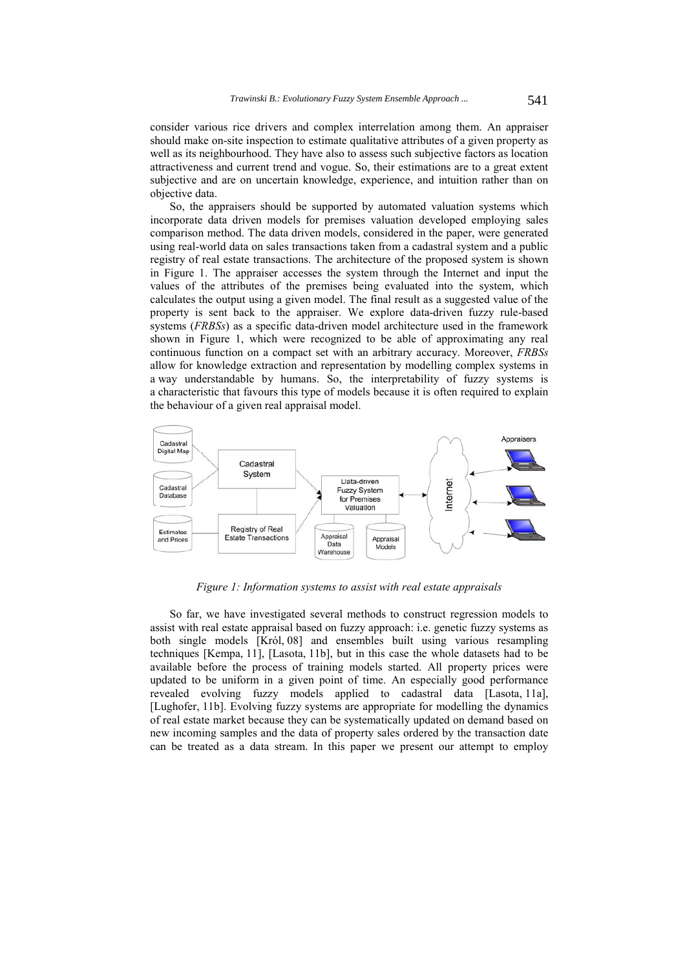consider various rice drivers and complex interrelation among them. An appraiser should make on-site inspection to estimate qualitative attributes of a given property as well as its neighbourhood. They have also to assess such subjective factors as location attractiveness and current trend and vogue. So, their estimations are to a great extent subjective and are on uncertain knowledge, experience, and intuition rather than on objective data.

So, the appraisers should be supported by automated valuation systems which incorporate data driven models for premises valuation developed employing sales comparison method. The data driven models, considered in the paper, were generated using real-world data on sales transactions taken from a cadastral system and a public registry of real estate transactions. The architecture of the proposed system is shown in Figure 1. The appraiser accesses the system through the Internet and input the values of the attributes of the premises being evaluated into the system, which calculates the output using a given model. The final result as a suggested value of the property is sent back to the appraiser. We explore data-driven fuzzy rule-based systems (*FRBSs*) as a specific data-driven model architecture used in the framework shown in Figure 1, which were recognized to be able of approximating any real continuous function on a compact set with an arbitrary accuracy. Moreover, *FRBSs* allow for knowledge extraction and representation by modelling complex systems in a way understandable by humans. So, the interpretability of fuzzy systems is a characteristic that favours this type of models because it is often required to explain the behaviour of a given real appraisal model.



*Figure 1: Information systems to assist with real estate appraisals* 

So far, we have investigated several methods to construct regression models to assist with real estate appraisal based on fuzzy approach: i.e. genetic fuzzy systems as both single models [Król, 08] and ensembles built using various resampling techniques [Kempa, 11], [Lasota, 11b], but in this case the whole datasets had to be available before the process of training models started. All property prices were updated to be uniform in a given point of time. An especially good performance revealed evolving fuzzy models applied to cadastral data [Lasota, 11a], [Lughofer, 11b]. Evolving fuzzy systems are appropriate for modelling the dynamics of real estate market because they can be systematically updated on demand based on new incoming samples and the data of property sales ordered by the transaction date can be treated as a data stream. In this paper we present our attempt to employ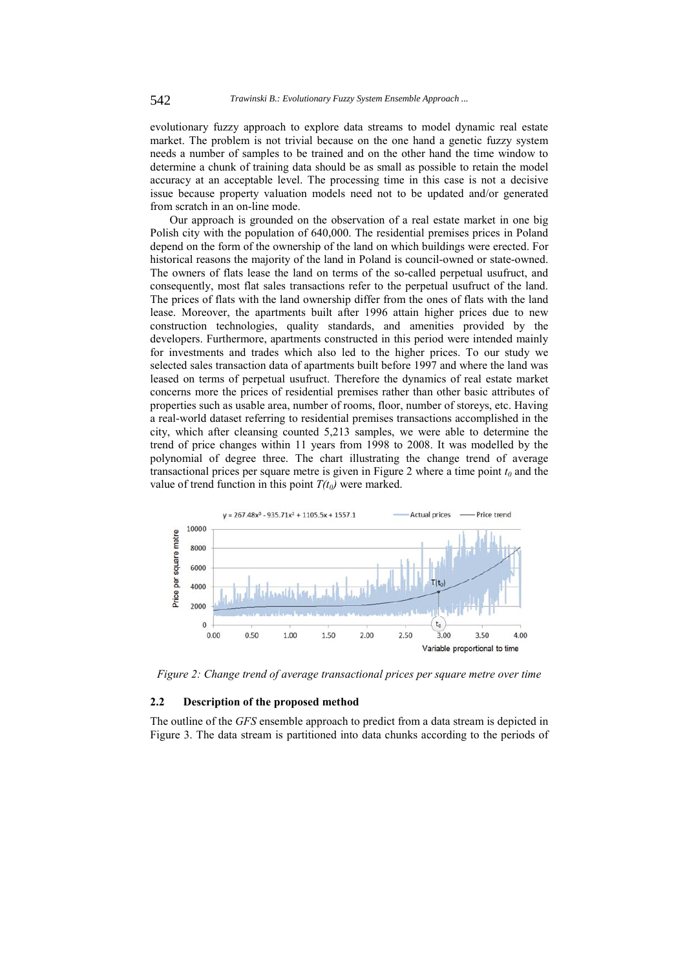evolutionary fuzzy approach to explore data streams to model dynamic real estate market. The problem is not trivial because on the one hand a genetic fuzzy system needs a number of samples to be trained and on the other hand the time window to determine a chunk of training data should be as small as possible to retain the model accuracy at an acceptable level. The processing time in this case is not a decisive issue because property valuation models need not to be updated and/or generated from scratch in an on-line mode.

Our approach is grounded on the observation of a real estate market in one big Polish city with the population of 640,000. The residential premises prices in Poland depend on the form of the ownership of the land on which buildings were erected. For historical reasons the majority of the land in Poland is council-owned or state-owned. The owners of flats lease the land on terms of the so-called perpetual usufruct, and consequently, most flat sales transactions refer to the perpetual usufruct of the land. The prices of flats with the land ownership differ from the ones of flats with the land lease. Moreover, the apartments built after 1996 attain higher prices due to new construction technologies, quality standards, and amenities provided by the developers. Furthermore, apartments constructed in this period were intended mainly for investments and trades which also led to the higher prices. To our study we selected sales transaction data of apartments built before 1997 and where the land was leased on terms of perpetual usufruct. Therefore the dynamics of real estate market concerns more the prices of residential premises rather than other basic attributes of properties such as usable area, number of rooms, floor, number of storeys, etc. Having a real-world dataset referring to residential premises transactions accomplished in the city, which after cleansing counted 5,213 samples, we were able to determine the trend of price changes within 11 years from 1998 to 2008. It was modelled by the polynomial of degree three. The chart illustrating the change trend of average transactional prices per square metre is given in Figure 2 where a time point  $t_0$  and the value of trend function in this point  $T(t_0)$  were marked.



*Figure 2: Change trend of average transactional prices per square metre over time* 

### **2.2 Description of the proposed method**

The outline of the *GFS* ensemble approach to predict from a data stream is depicted in Figure 3. The data stream is partitioned into data chunks according to the periods of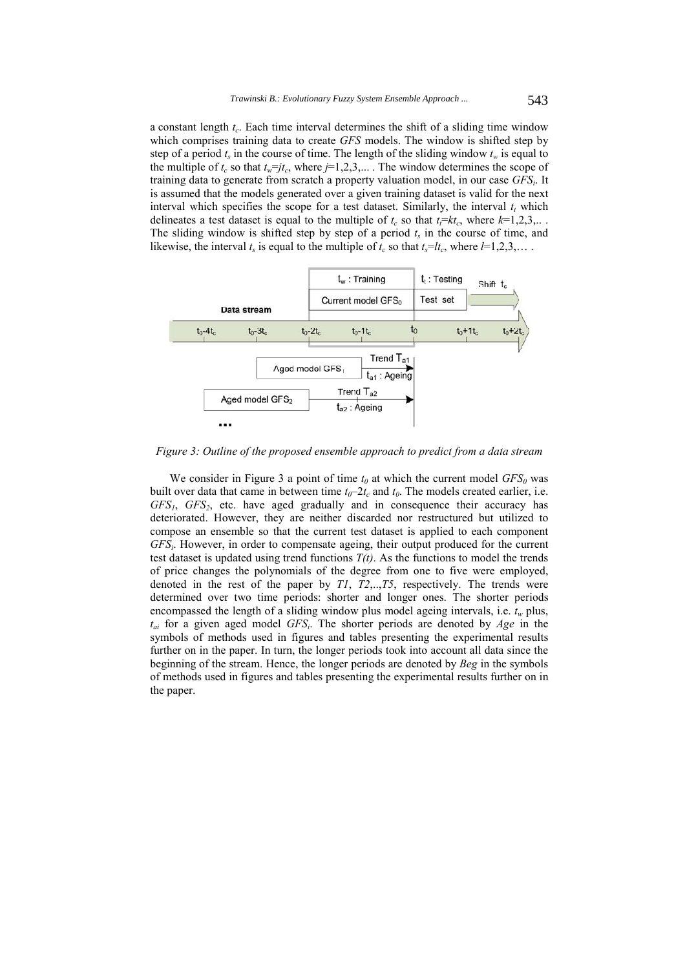a constant length  $t_c$ . Each time interval determines the shift of a sliding time window which comprises training data to create *GFS* models. The window is shifted step by step of a period  $t_s$  in the course of time. The length of the sliding window  $t_w$  is equal to the multiple of  $t_c$  so that  $t_w = j t_c$ , where  $j = 1, 2, 3, \dots$ . The window determines the scope of training data to generate from scratch a property valuation model, in our case *GFSi*. It is assumed that the models generated over a given training dataset is valid for the next interval which specifies the scope for a test dataset. Similarly, the interval  $t_t$  which delineates a test dataset is equal to the multiple of  $t_c$  so that  $t_i = kt_c$ , where  $k=1,2,3,...$ The sliding window is shifted step by step of a period  $t_s$  in the course of time, and likewise, the interval  $t_s$  is equal to the multiple of  $t_c$  so that  $t_s = lt_c$ , where  $l = 1,2,3,...$ 



*Figure 3: Outline of the proposed ensemble approach to predict from a data stream* 

We consider in Figure 3 a point of time  $t_0$  at which the current model  $GFS_0$  was built over data that came in between time  $t_0$ – $2t_c$  and  $t_0$ . The models created earlier, i.e. *GFS1*, *GFS2*, etc. have aged gradually and in consequence their accuracy has deteriorated. However, they are neither discarded nor restructured but utilized to compose an ensemble so that the current test dataset is applied to each component *GFSi*. However, in order to compensate ageing, their output produced for the current test dataset is updated using trend functions  $T(t)$ . As the functions to model the trends of price changes the polynomials of the degree from one to five were employed, denoted in the rest of the paper by *T1*, *T2*,..,*T5*, respectively. The trends were determined over two time periods: shorter and longer ones. The shorter periods encompassed the length of a sliding window plus model ageing intervals, i.e.  $t_w$  plus, *tai* for a given aged model *GFSi*. The shorter periods are denoted by *Age* in the symbols of methods used in figures and tables presenting the experimental results further on in the paper. In turn, the longer periods took into account all data since the beginning of the stream. Hence, the longer periods are denoted by *Beg* in the symbols of methods used in figures and tables presenting the experimental results further on in the paper.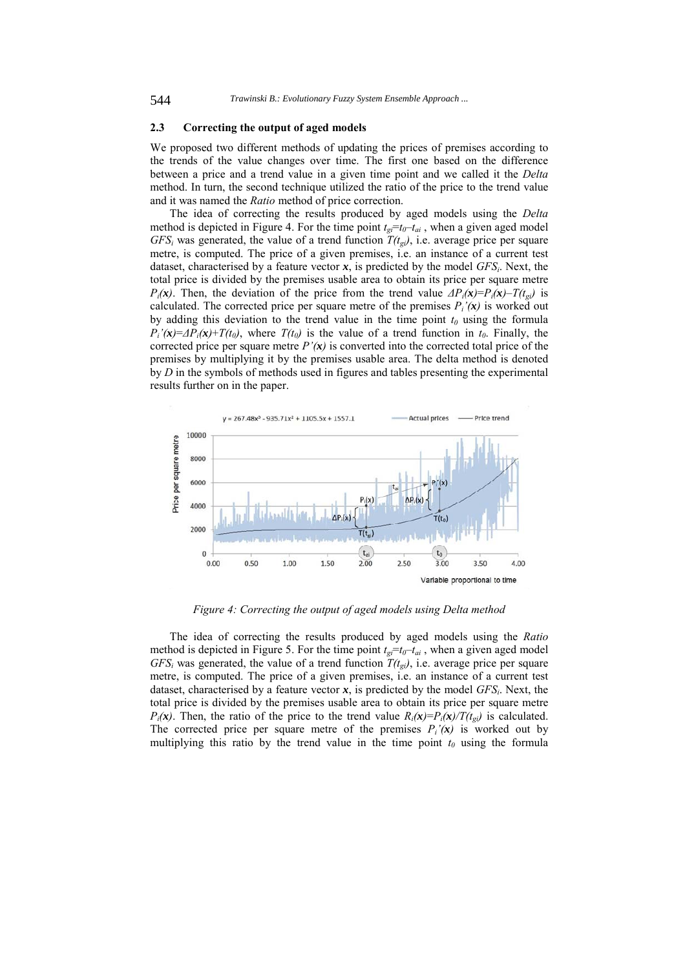#### **2.3 Correcting the output of aged models**

We proposed two different methods of updating the prices of premises according to the trends of the value changes over time. The first one based on the difference between a price and a trend value in a given time point and we called it the *Delta* method. In turn, the second technique utilized the ratio of the price to the trend value and it was named the *Ratio* method of price correction.

The idea of correcting the results produced by aged models using the *Delta* method is depicted in Figure 4. For the time point  $t_{gi} = t_0 - t_{ai}$ , when a given aged model  $GFS<sub>i</sub>$  was generated, the value of a trend function  $T(t<sub>gi</sub>)$ , i.e. average price per square metre, is computed. The price of a given premises, i.e. an instance of a current test dataset, characterised by a feature vector  $x$ , is predicted by the model  $GFS_i$ . Next, the total price is divided by the premises usable area to obtain its price per square metre *P<sub>i</sub>*(*x*). Then, the deviation of the price from the trend value  $\Delta P_i(x) = P_i(x) - T(t_{ei})$  is calculated. The corrected price per square metre of the premises  $P_i'(\mathbf{x})$  is worked out by adding this deviation to the trend value in the time point  $t_0$  using the formula  $P_i'(\mathbf{x}) = \Delta P_i(\mathbf{x}) + T(t_0)$ , where  $T(t_0)$  is the value of a trend function in  $t_0$ . Finally, the corrected price per square metre  $P'(\mathbf{x})$  is converted into the corrected total price of the premises by multiplying it by the premises usable area. The delta method is denoted by *D* in the symbols of methods used in figures and tables presenting the experimental results further on in the paper.



*Figure 4: Correcting the output of aged models using Delta method* 

The idea of correcting the results produced by aged models using the *Ratio* method is depicted in Figure 5. For the time point  $t_{\text{g}}=t_0-t_{\text{ai}}$ , when a given aged model  $GFS<sub>i</sub>$  was generated, the value of a trend function  $T(t<sub>gi</sub>)$ , i.e. average price per square metre, is computed. The price of a given premises, i.e. an instance of a current test dataset, characterised by a feature vector  $x$ , is predicted by the model  $GFS_i$ . Next, the total price is divided by the premises usable area to obtain its price per square metre  $P_i(\mathbf{x})$ . Then, the ratio of the price to the trend value  $R_i(\mathbf{x})=P_i(\mathbf{x})/T(t_{gi})$  is calculated. The corrected price per square metre of the premises  $P_i'(\mathbf{x})$  is worked out by multiplying this ratio by the trend value in the time point  $t_0$  using the formula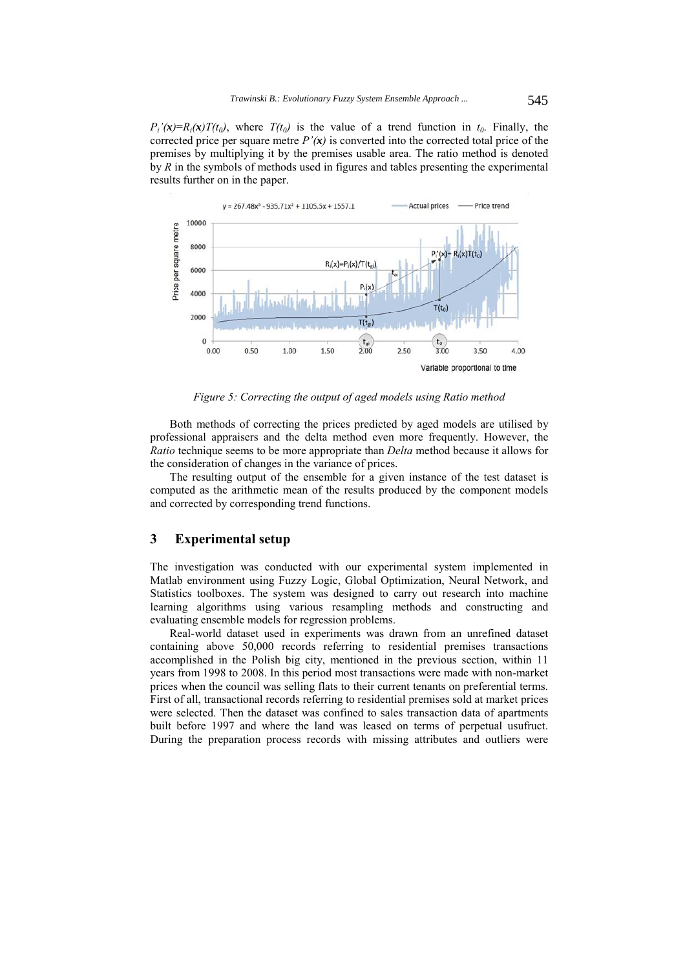$P_i'(\mathbf{x})=R_i(\mathbf{x})T(t_0)$ , where  $T(t_0)$  is the value of a trend function in  $t_0$ . Finally, the corrected price per square metre  $P'(\mathbf{x})$  is converted into the corrected total price of the premises by multiplying it by the premises usable area. The ratio method is denoted by *R* in the symbols of methods used in figures and tables presenting the experimental results further on in the paper.



*Figure 5: Correcting the output of aged models using Ratio method* 

Both methods of correcting the prices predicted by aged models are utilised by professional appraisers and the delta method even more frequently. However, the *Ratio* technique seems to be more appropriate than *Delta* method because it allows for the consideration of changes in the variance of prices.

The resulting output of the ensemble for a given instance of the test dataset is computed as the arithmetic mean of the results produced by the component models and corrected by corresponding trend functions.

### **3 Experimental setup**

The investigation was conducted with our experimental system implemented in Matlab environment using Fuzzy Logic, Global Optimization, Neural Network, and Statistics toolboxes. The system was designed to carry out research into machine learning algorithms using various resampling methods and constructing and evaluating ensemble models for regression problems.

Real-world dataset used in experiments was drawn from an unrefined dataset containing above 50,000 records referring to residential premises transactions accomplished in the Polish big city, mentioned in the previous section, within 11 years from 1998 to 2008. In this period most transactions were made with non-market prices when the council was selling flats to their current tenants on preferential terms. First of all, transactional records referring to residential premises sold at market prices were selected. Then the dataset was confined to sales transaction data of apartments built before 1997 and where the land was leased on terms of perpetual usufruct. During the preparation process records with missing attributes and outliers were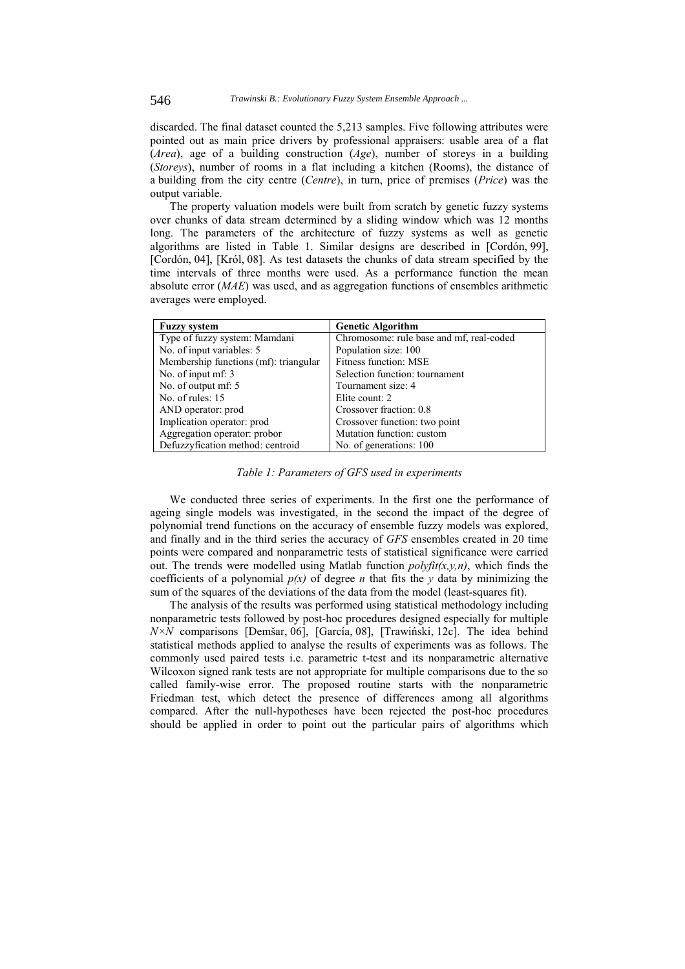discarded. The final dataset counted the 5,213 samples. Five following attributes were pointed out as main price drivers by professional appraisers: usable area of a flat (*Area*), age of a building construction (*Age*), number of storeys in a building (*Storeys*), number of rooms in a flat including a kitchen (Rooms), the distance of a building from the city centre (*Centre*), in turn, price of premises (*Price*) was the output variable.

The property valuation models were built from scratch by genetic fuzzy systems over chunks of data stream determined by a sliding window which was 12 months long. The parameters of the architecture of fuzzy systems as well as genetic algorithms are listed in Table 1. Similar designs are described in [Cordón, 99], [Cordón, 04], [Król, 08]. As test datasets the chunks of data stream specified by the time intervals of three months were used. As a performance function the mean absolute error (*MAE*) was used, and as aggregation functions of ensembles arithmetic averages were employed.

| <b>Fuzzy system</b>                   | <b>Genetic Algorithm</b>                 |
|---------------------------------------|------------------------------------------|
| Type of fuzzy system: Mamdani         | Chromosome: rule base and mf, real-coded |
| No. of input variables: 5             | Population size: 100                     |
| Membership functions (mf): triangular | Fitness function: MSE                    |
| No. of input mf: 3                    | Selection function: tournament           |
| No. of output mf: 5                   | Tournament size: 4                       |
| No. of rules: $15$                    | Elite count: 2                           |
| AND operator: prod                    | Crossover fraction: 0.8                  |
| Implication operator: prod            | Crossover function: two point            |
| Aggregation operator: probor          | Mutation function: custom                |
| Defuzzyfication method: centroid      | No. of generations: 100                  |

*Table 1: Parameters of GFS used in experiments* 

We conducted three series of experiments. In the first one the performance of ageing single models was investigated, in the second the impact of the degree of polynomial trend functions on the accuracy of ensemble fuzzy models was explored, and finally and in the third series the accuracy of *GFS* ensembles created in 20 time points were compared and nonparametric tests of statistical significance were carried out. The trends were modelled using Matlab function *polyfit(x,y,n)*, which finds the coefficients of a polynomial  $p(x)$  of degree *n* that fits the *y* data by minimizing the sum of the squares of the deviations of the data from the model (least-squares fit).

The analysis of the results was performed using statistical methodology including nonparametric tests followed by post-hoc procedures designed especially for multiple *N×N* comparisons [Demšar, 06], [García, 08], [Trawiński, 12c]. The idea behind statistical methods applied to analyse the results of experiments was as follows. The commonly used paired tests i.e. parametric t-test and its nonparametric alternative Wilcoxon signed rank tests are not appropriate for multiple comparisons due to the so called family-wise error. The proposed routine starts with the nonparametric Friedman test, which detect the presence of differences among all algorithms compared. After the null-hypotheses have been rejected the post-hoc procedures should be applied in order to point out the particular pairs of algorithms which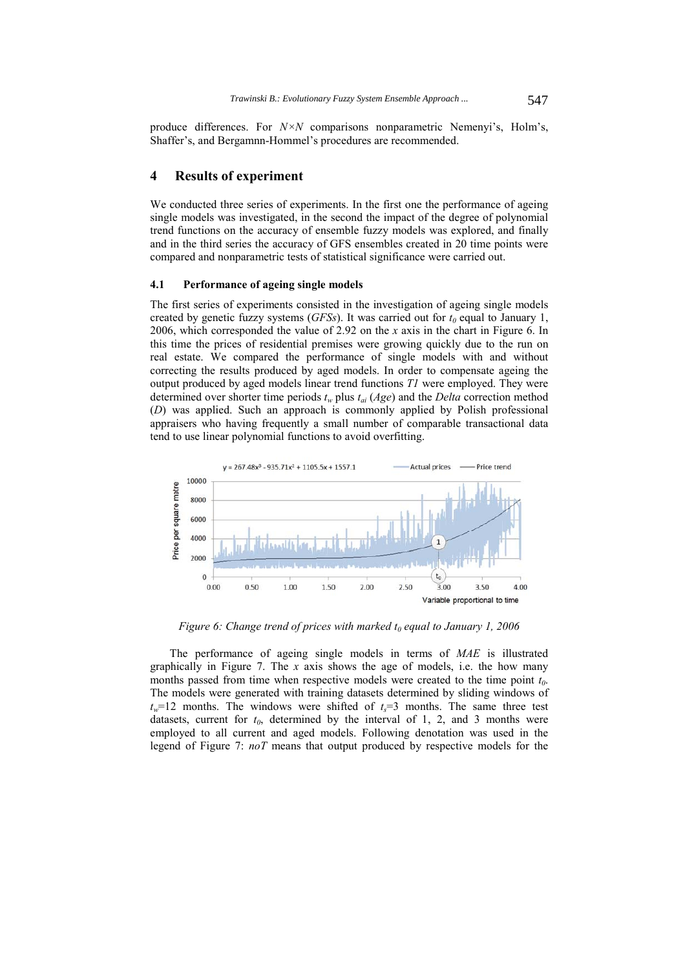produce differences. For *N×N* comparisons nonparametric Nemenyi's, Holm's, Shaffer's, and Bergamnn-Hommel's procedures are recommended.

## **4 Results of experiment**

We conducted three series of experiments. In the first one the performance of ageing single models was investigated, in the second the impact of the degree of polynomial trend functions on the accuracy of ensemble fuzzy models was explored, and finally and in the third series the accuracy of GFS ensembles created in 20 time points were compared and nonparametric tests of statistical significance were carried out.

### **4.1 Performance of ageing single models**

The first series of experiments consisted in the investigation of ageing single models created by genetic fuzzy systems ( $GFSs$ ). It was carried out for  $t_0$  equal to January 1, 2006, which corresponded the value of 2.92 on the *x* axis in the chart in Figure 6. In this time the prices of residential premises were growing quickly due to the run on real estate. We compared the performance of single models with and without correcting the results produced by aged models. In order to compensate ageing the output produced by aged models linear trend functions *T1* were employed. They were determined over shorter time periods  $t_w$  plus  $t_{ai}$  (*Age*) and the *Delta* correction method (*D*) was applied. Such an approach is commonly applied by Polish professional appraisers who having frequently a small number of comparable transactional data tend to use linear polynomial functions to avoid overfitting.



*Figure 6: Change trend of prices with marked*  $t_0$  *equal to January 1, 2006* 

The performance of ageing single models in terms of *MAE* is illustrated graphically in Figure 7. The *x* axis shows the age of models, i.e. the how many months passed from time when respective models were created to the time point  $t_0$ . The models were generated with training datasets determined by sliding windows of  $t_w$ =12 months. The windows were shifted of  $t_s$ =3 months. The same three test datasets, current for  $t_0$ , determined by the interval of 1, 2, and 3 months were employed to all current and aged models. Following denotation was used in the legend of Figure 7: *noT* means that output produced by respective models for the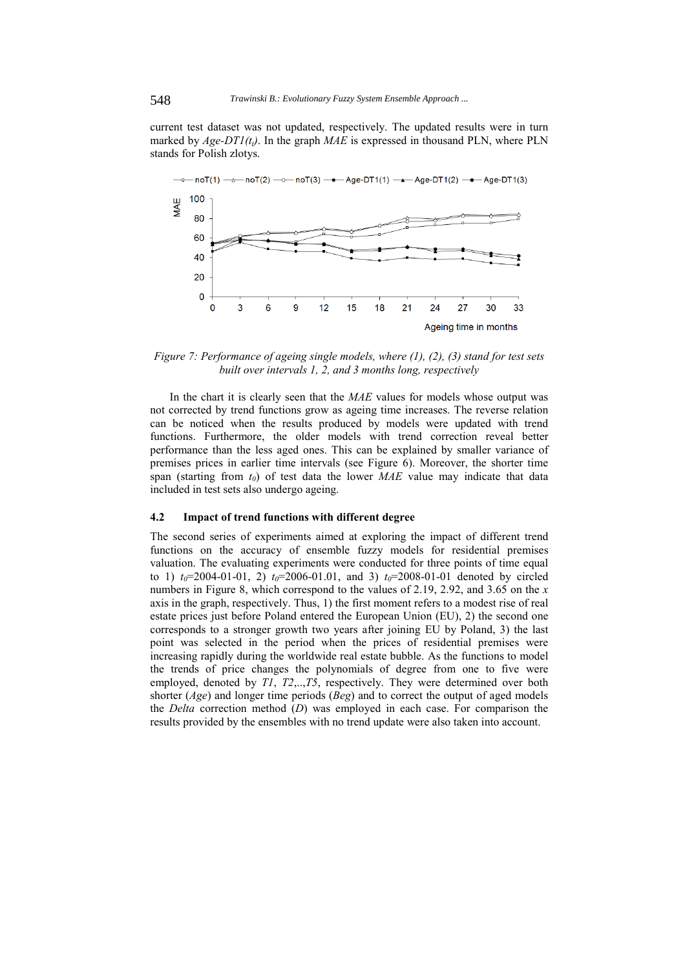current test dataset was not updated, respectively. The updated results were in turn marked by  $Age-DTI(t_i)$ . In the graph  $MAE$  is expressed in thousand PLN, where PLN stands for Polish zlotys.



*Figure 7: Performance of ageing single models, where (1), (2), (3) stand for test sets built over intervals 1, 2, and 3 months long, respectively* 

In the chart it is clearly seen that the *MAE* values for models whose output was not corrected by trend functions grow as ageing time increases. The reverse relation can be noticed when the results produced by models were updated with trend functions. Furthermore, the older models with trend correction reveal better performance than the less aged ones. This can be explained by smaller variance of premises prices in earlier time intervals (see Figure 6). Moreover, the shorter time span (starting from  $t_0$ ) of test data the lower  $MAE$  value may indicate that data included in test sets also undergo ageing.

#### **4.2 Impact of trend functions with different degree**

The second series of experiments aimed at exploring the impact of different trend functions on the accuracy of ensemble fuzzy models for residential premises valuation. The evaluating experiments were conducted for three points of time equal to 1)  $t_0$ =2004-01-01, 2)  $t_0$ =2006-01.01, and 3)  $t_0$ =2008-01-01 denoted by circled numbers in Figure 8, which correspond to the values of 2.19, 2.92, and 3.65 on the *x* axis in the graph, respectively. Thus, 1) the first moment refers to a modest rise of real estate prices just before Poland entered the European Union (EU), 2) the second one corresponds to a stronger growth two years after joining EU by Poland, 3) the last point was selected in the period when the prices of residential premises were increasing rapidly during the worldwide real estate bubble. As the functions to model the trends of price changes the polynomials of degree from one to five were employed, denoted by *T1*, *T2*,..,*T5*, respectively. They were determined over both shorter (*Age*) and longer time periods (*Beg*) and to correct the output of aged models the *Delta* correction method (*D*) was employed in each case. For comparison the results provided by the ensembles with no trend update were also taken into account.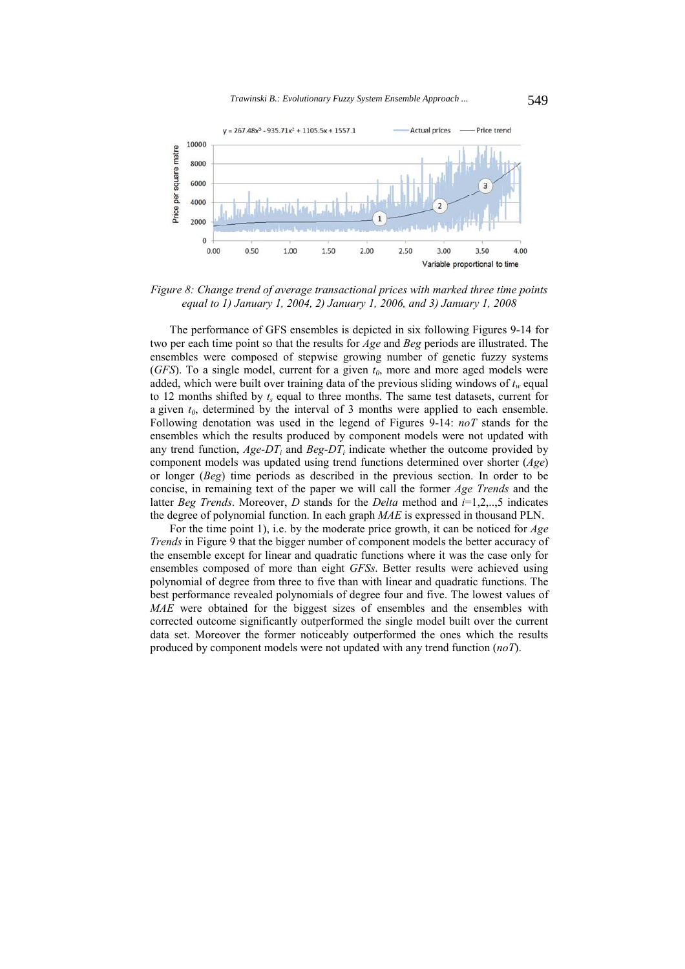

*Figure 8: Change trend of average transactional prices with marked three time points equal to 1) January 1, 2004, 2) January 1, 2006, and 3) January 1, 2008* 

The performance of GFS ensembles is depicted in six following Figures 9-14 for two per each time point so that the results for *Age* and *Beg* periods are illustrated. The ensembles were composed of stepwise growing number of genetic fuzzy systems (*GFS*). To a single model, current for a given  $t_0$ , more and more aged models were added, which were built over training data of the previous sliding windows of  $t_w$  equal to 12 months shifted by  $t_s$  equal to three months. The same test datasets, current for a given  $t_0$ , determined by the interval of 3 months were applied to each ensemble. Following denotation was used in the legend of Figures 9-14: *noT* stands for the ensembles which the results produced by component models were not updated with any trend function,  $Age-DT_i$  and  $Beg-DT_i$  indicate whether the outcome provided by component models was updated using trend functions determined over shorter (*Age*) or longer (*Beg*) time periods as described in the previous section. In order to be concise, in remaining text of the paper we will call the former *Age Trends* and the latter *Beg Trends*. Moreover, *D* stands for the *Delta* method and *i*=1,2,..,5 indicates the degree of polynomial function. In each graph *MAE* is expressed in thousand PLN.

For the time point 1), i.e. by the moderate price growth, it can be noticed for *Age Trends* in Figure 9 that the bigger number of component models the better accuracy of the ensemble except for linear and quadratic functions where it was the case only for ensembles composed of more than eight *GFSs*. Better results were achieved using polynomial of degree from three to five than with linear and quadratic functions. The best performance revealed polynomials of degree four and five. The lowest values of *MAE* were obtained for the biggest sizes of ensembles and the ensembles with corrected outcome significantly outperformed the single model built over the current data set. Moreover the former noticeably outperformed the ones which the results produced by component models were not updated with any trend function (*noT*).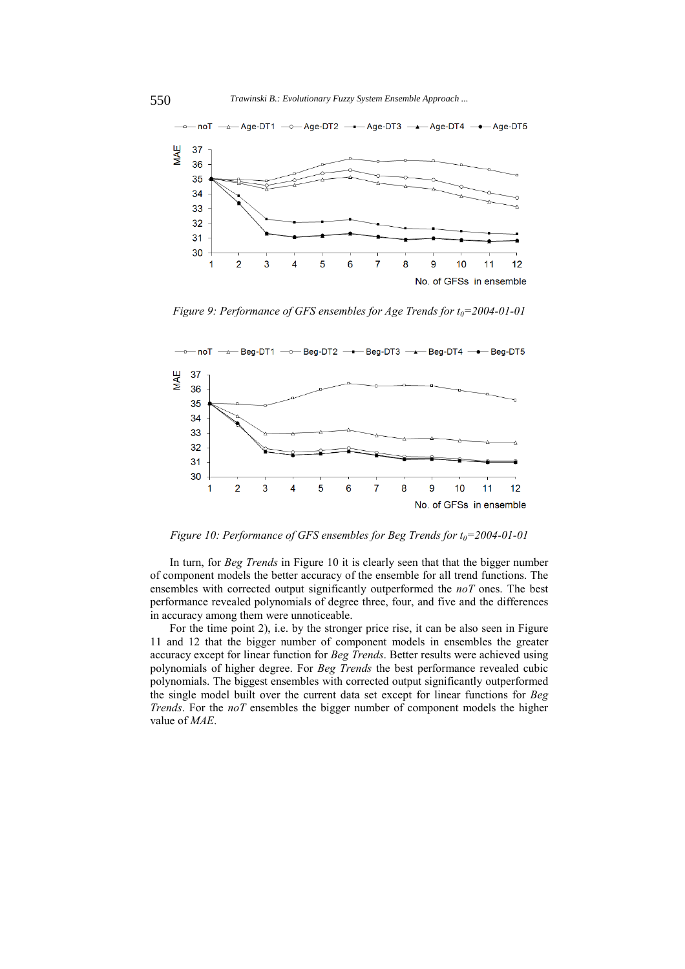

*Figure 9: Performance of GFS ensembles for Age Trends for t<sub>0</sub>=2004-01-01* 



*Figure 10: Performance of GFS ensembles for Beg Trends for t<sub>0</sub>=2004-01-01* 

In turn, for *Beg Trends* in Figure 10 it is clearly seen that that the bigger number of component models the better accuracy of the ensemble for all trend functions. The ensembles with corrected output significantly outperformed the *noT* ones. The best performance revealed polynomials of degree three, four, and five and the differences in accuracy among them were unnoticeable.

For the time point 2), i.e. by the stronger price rise, it can be also seen in Figure 11 and 12 that the bigger number of component models in ensembles the greater accuracy except for linear function for *Beg Trends*. Better results were achieved using polynomials of higher degree. For *Beg Trends* the best performance revealed cubic polynomials. The biggest ensembles with corrected output significantly outperformed the single model built over the current data set except for linear functions for *Beg Trends*. For the *noT* ensembles the bigger number of component models the higher value of *MAE*.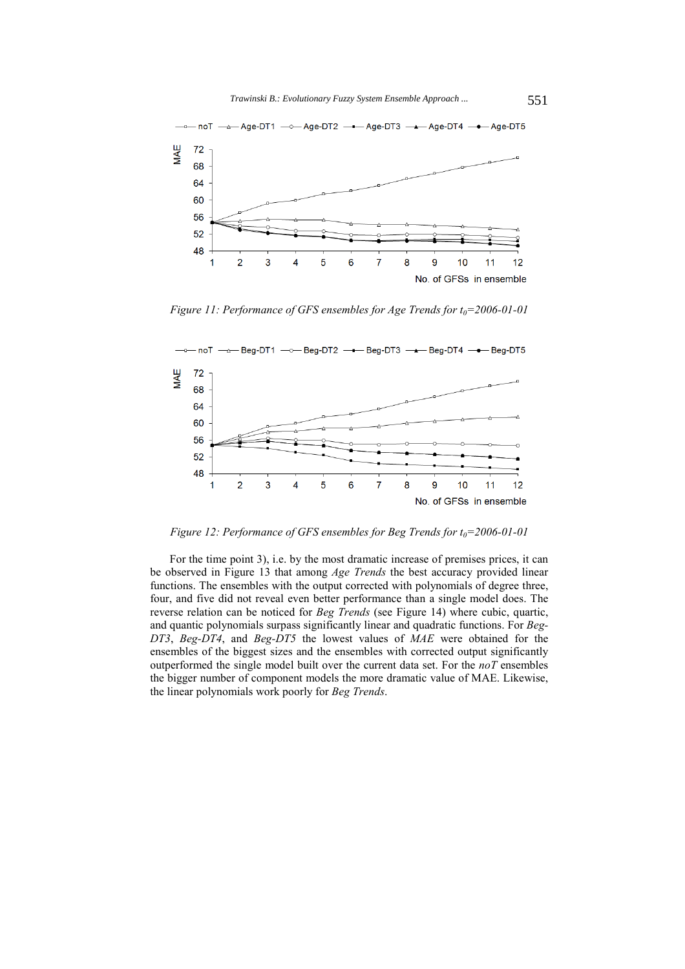

*Figure 11: Performance of GFS ensembles for Age Trends for t<sub>0</sub>=2006-01-01* 



*Figure 12: Performance of GFS ensembles for Beg Trends for t<sub>0</sub>=2006-01-01* 

For the time point 3), i.e. by the most dramatic increase of premises prices, it can be observed in Figure 13 that among *Age Trends* the best accuracy provided linear functions. The ensembles with the output corrected with polynomials of degree three, four, and five did not reveal even better performance than a single model does. The reverse relation can be noticed for *Beg Trends* (see Figure 14) where cubic, quartic, and quantic polynomials surpass significantly linear and quadratic functions. For *Beg-DT3*, *Beg-DT4*, and *Beg-DT5* the lowest values of *MAE* were obtained for the ensembles of the biggest sizes and the ensembles with corrected output significantly outperformed the single model built over the current data set. For the *noT* ensembles the bigger number of component models the more dramatic value of MAE. Likewise, the linear polynomials work poorly for *Beg Trends*.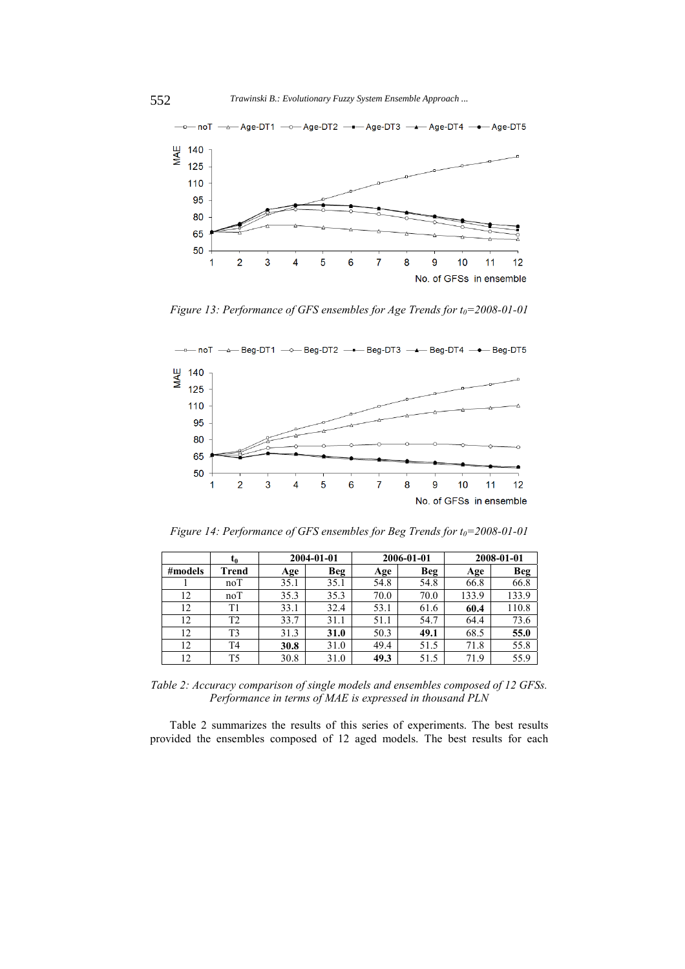

*Figure 13: Performance of GFS ensembles for Age Trends for t<sub>0</sub>=2008-01-01* 



*Figure 14: Performance of GFS ensembles for Beg Trends for t<sub>0</sub>=2008-01-01* 

|         | t0             | 2004-01-01 |            |      | 2006-01-01 | 2008-01-01 |       |
|---------|----------------|------------|------------|------|------------|------------|-------|
| #models | Trend          | Age        | <b>Beg</b> | Age  | <b>Beg</b> | Age        | Beg   |
|         | noT            | 35.1       | 35.1       | 54.8 | 54.8       | 66.8       | 66.8  |
| 12      | noT            | 35.3       | 35.3       | 70.0 | 70.0       | 133.9      | 133.9 |
| 12      | T <sub>1</sub> | 33.1       | 32.4       | 53.1 | 61.6       | 60.4       | 110.8 |
| 12      | T2             | 33.7       | 31.1       | 51.1 | 54.7       | 64.4       | 73.6  |
| 12      | T3             | 31.3       | 31.0       | 50.3 | 49.1       | 68.5       | 55.0  |
| 12      | T4             | 30.8       | 31.0       | 49.4 | 51.5       | 71.8       | 55.8  |
| 12      | T5             | 30.8       | 31.0       | 49.3 | 51.5       | 71.9       | 55.9  |

*Table 2: Accuracy comparison of single models and ensembles composed of 12 GFSs. Performance in terms of MAE is expressed in thousand PLN* 

Table 2 summarizes the results of this series of experiments. The best results provided the ensembles composed of 12 aged models. The best results for each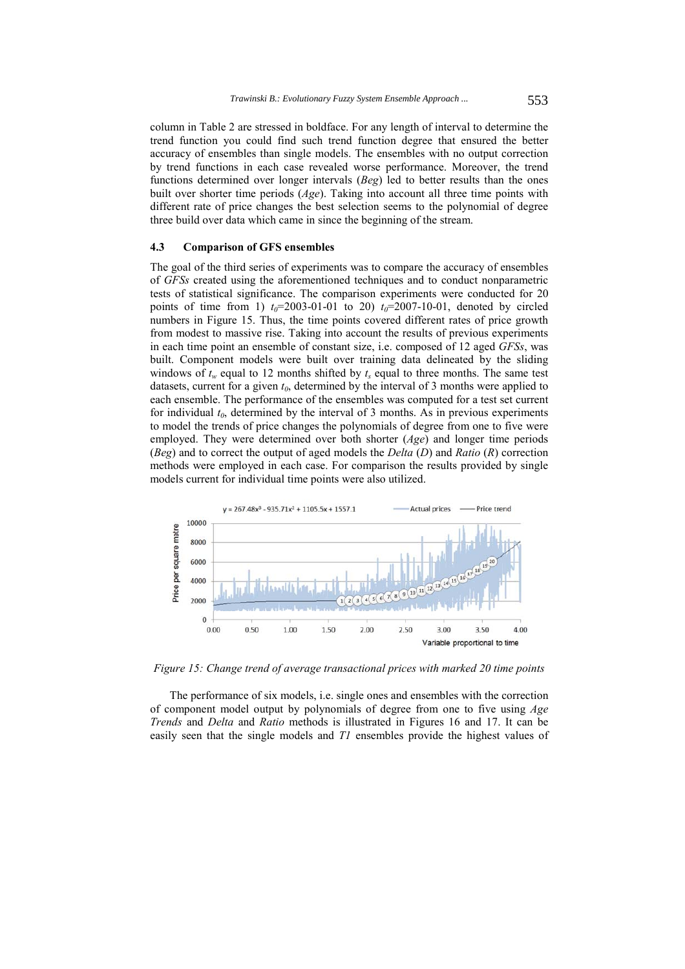column in Table 2 are stressed in boldface. For any length of interval to determine the trend function you could find such trend function degree that ensured the better accuracy of ensembles than single models. The ensembles with no output correction by trend functions in each case revealed worse performance. Moreover, the trend functions determined over longer intervals (*Beg*) led to better results than the ones built over shorter time periods (*Age*). Taking into account all three time points with different rate of price changes the best selection seems to the polynomial of degree three build over data which came in since the beginning of the stream.

### **4.3 Comparison of GFS ensembles**

The goal of the third series of experiments was to compare the accuracy of ensembles of *GFSs* created using the aforementioned techniques and to conduct nonparametric tests of statistical significance. The comparison experiments were conducted for 20 points of time from 1)  $t_0$ =2003-01-01 to 20)  $t_0$ =2007-10-01, denoted by circled numbers in Figure 15. Thus, the time points covered different rates of price growth from modest to massive rise. Taking into account the results of previous experiments in each time point an ensemble of constant size, i.e. composed of 12 aged *GFSs*, was built. Component models were built over training data delineated by the sliding windows of  $t_w$  equal to 12 months shifted by  $t_s$  equal to three months. The same test datasets, current for a given  $t_0$ , determined by the interval of 3 months were applied to each ensemble. The performance of the ensembles was computed for a test set current for individual  $t_0$ , determined by the interval of 3 months. As in previous experiments to model the trends of price changes the polynomials of degree from one to five were employed. They were determined over both shorter (*Age*) and longer time periods (*Beg*) and to correct the output of aged models the *Delta* (*D*) and *Ratio* (*R*) correction methods were employed in each case. For comparison the results provided by single models current for individual time points were also utilized.



*Figure 15: Change trend of average transactional prices with marked 20 time points* 

The performance of six models, i.e. single ones and ensembles with the correction of component model output by polynomials of degree from one to five using *Age Trends* and *Delta* and *Ratio* methods is illustrated in Figures 16 and 17. It can be easily seen that the single models and *T1* ensembles provide the highest values of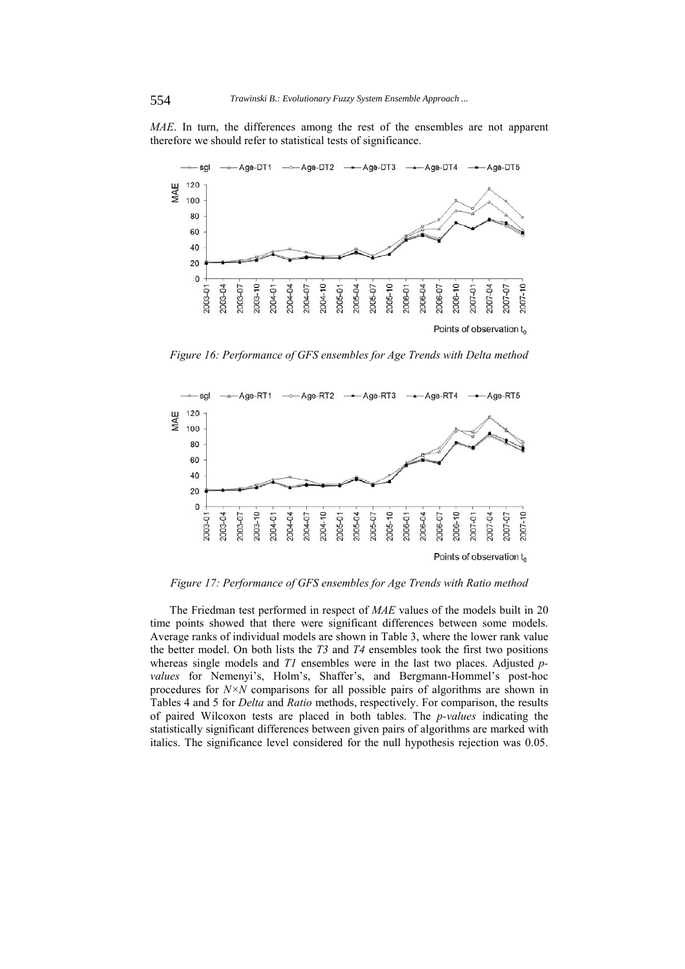*MAE*. In turn, the differences among the rest of the ensembles are not apparent therefore we should refer to statistical tests of significance.



*Figure 16: Performance of GFS ensembles for Age Trends with Delta method* 



*Figure 17: Performance of GFS ensembles for Age Trends with Ratio method* 

The Friedman test performed in respect of *MAE* values of the models built in 20 time points showed that there were significant differences between some models. Average ranks of individual models are shown in Table 3, where the lower rank value the better model. On both lists the *T3* and *T4* ensembles took the first two positions whereas single models and *T1* ensembles were in the last two places. Adjusted *pvalues* for Nemenyi's, Holm's, Shaffer's, and Bergmann-Hommel's post-hoc procedures for *N×N* comparisons for all possible pairs of algorithms are shown in Tables 4 and 5 for *Delta* and *Ratio* methods, respectively. For comparison, the results of paired Wilcoxon tests are placed in both tables. The *p-values* indicating the statistically significant differences between given pairs of algorithms are marked with italics. The significance level considered for the null hypothesis rejection was 0.05.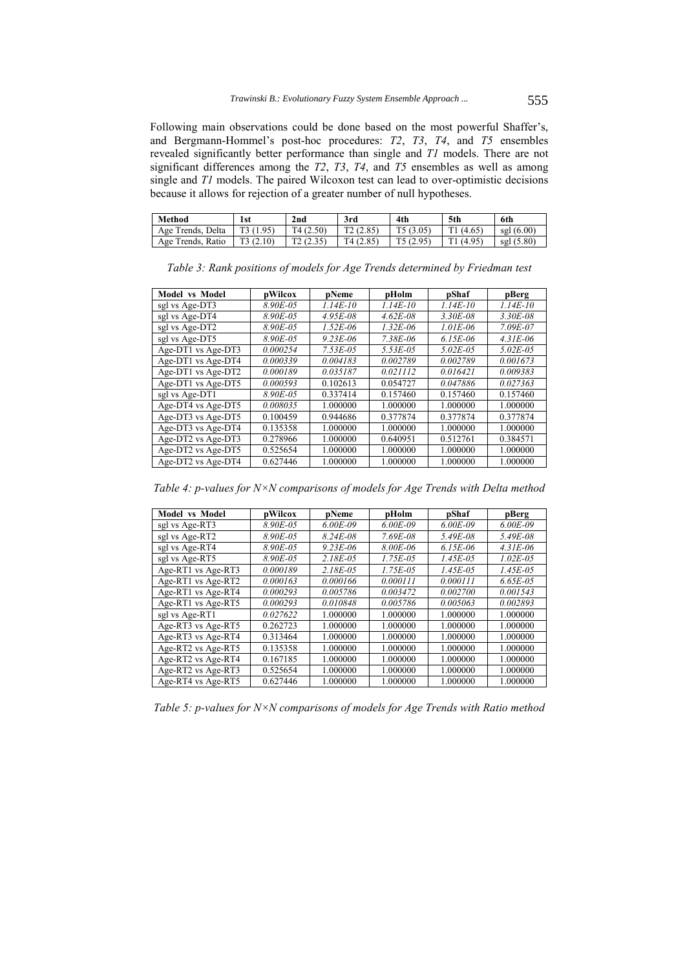Following main observations could be done based on the most powerful Shaffer's, and Bergmann-Hommel's post-hoc procedures: *T2*, *T3*, *T4*, and *T5* ensembles revealed significantly better performance than single and *T1* models. There are not significant differences among the *T2*, *T3*, *T4*, and *T5* ensembles as well as among single and *T1* models. The paired Wilcoxon test can lead to over-optimistic decisions because it allows for rejection of a greater number of null hypotheses.

| Method            | 1st      | 2nd      | 3rd      | 4th      | 5th    | 6th             |
|-------------------|----------|----------|----------|----------|--------|-----------------|
| Age Trends, Delta | T3(1.95) | T4(2.50) | T2(2.85) | T5(3.05) | (4.65) | sgl $(6.00)$    |
| Age Trends, Ratio | (2.10)   | ر رہے ا  | T4(2.85) | (2.95)   | (4.95) | (5.80)<br>sgl ' |

**Model vs Model pWilcox pNeme pHolm pShaf pBerg**  sgl vs Age-DT3 *8.90E-05 1.14E-10 1.14E-10 1.14E-10 1.14E-10*  sgl vs Age-DT4 *8.90E-05 4.95E-08 4.62E-08 3.30E-08 3.30E-08*  sgl vs Age-DT2 *8.90E-05 1.52E-06 1.32E-06 1.01E-06 7.09E-07*  sgl vs Age-DT5 8.90E-05 9.23E-06 7.38E-06 6.15E-06 4.31E-06<br>Age-DT1 vs Age-DT3 0.000254 7.53E-05 5.53E-05 5.02E-05 5.02E-05 Age-DT1 vs Age-DT3 *0.000254 7.53E-05 5.53E-05 5.02E-05 5.02E-05*  Age-DT1 vs Age-DT4 *0.000339 0.004183 0.002789 0.002789 0.001673*  Age-DT1 vs Age-DT2 *0.000189 0.035187 0.021112 0.016421 0.009383*  Age-DT1 vs Age-DT5 *0.000593* 0.102613 0.054727 *0.047886 0.027363*  sgl vs Age-DT1 8.90E-05 0.337414 0.157460 0.157460 0.157460 Age-DT4 vs Age-DT5  $\begin{array}{|l} 0.008035 \end{array}$  1.000000 1.000000 1.000000 1.000000 Age-DT3 vs Age-DT5 0.100459 0.944686 0.377874 0.377874 0.377874 Age-DT3 vs Age-DT4 0.135358 1.000000 1.000000 1.000000 1.000000 Age-DT2 vs Age-DT3 0.278966 1.000000 0.640951 0.512761 0.384571<br>Age-DT2 vs Age-DT5 0.525654 1.000000 1.000000 1.000000 1.000000 Age-DT2 vs Age-DT5 0.525654 1.000000 1.000000 Age-DT2 vs Age-DT4 0.627446 1.000000 1.000000 1.000000 1.000000

*Table 3: Rank positions of models for Age Trends determined by Friedman test* 

*Table 4: p-values for N×N comparisons of models for Age Trends with Delta method* 

| Model vs Model     | pWilcox  | pNeme         | pHolm         | pShaf         | pBerg         |
|--------------------|----------|---------------|---------------|---------------|---------------|
| sgl vs Age-RT3     | 8.90E-05 | $6.00E-09$    | $6.00E-09$    | $6.00E - 09$  | $6.00E-09$    |
| sgl vs Age-RT2     | 8.90E-05 | $8.24E - 08$  | $7.69E - 08$  | 5.49E-08      | $5.49E - 08$  |
| sgl vs Age-RT4     | 8.90E-05 | $9.23E - 06$  | 8.00E-06      | $6.15E-06$    | $4.31E - 06$  |
| sgl vs Age-RT5     | 8.90E-05 | $2.18E - 0.5$ | $1.75E - 0.5$ | $1.45E - 0.5$ | $1.02E - 0.5$ |
| Age-RT1 vs Age-RT3 | 0.000189 | $2.18E - 0.5$ | 1.75E-05      | $1.45E - 0.5$ | 1.45E-05      |
| Age-RT1 vs Age-RT2 | 0.000163 | 0.000166      | 0.000111      | 0.000111      | $6.65E - 0.5$ |
| Age-RT1 vs Age-RT4 | 0.000293 | 0.005786      | 0.003472      | 0.002700      | 0.001543      |
| Age-RT1 vs Age-RT5 | 0.000293 | 0.010848      | 0.005786      | 0.005063      | 0.002893      |
| sgl vs Age-RT1     | 0.027622 | 1.000000      | 1.000000      | 1.000000      | 1.000000      |
| Age-RT3 vs Age-RT5 | 0.262723 | 1.000000      | 1.000000      | 1.000000      | 1.000000      |
| Age-RT3 vs Age-RT4 | 0.313464 | 1.000000      | 1.000000      | 1.000000      | 1.000000      |
| Age-RT2 vs Age-RT5 | 0.135358 | 1.000000      | 1.000000      | 1.000000      | 1.000000      |
| Age-RT2 vs Age-RT4 | 0.167185 | 1.000000      | 1.000000      | 1.000000      | 1.000000      |
| Age-RT2 vs Age-RT3 | 0.525654 | 1.000000      | 1.000000      | 1.000000      | 1.000000      |
| Age-RT4 vs Age-RT5 | 0.627446 | 1.000000      | 1.000000      | 1.000000      | 1.000000      |

*Table 5: p-values for N×N comparisons of models for Age Trends with Ratio method*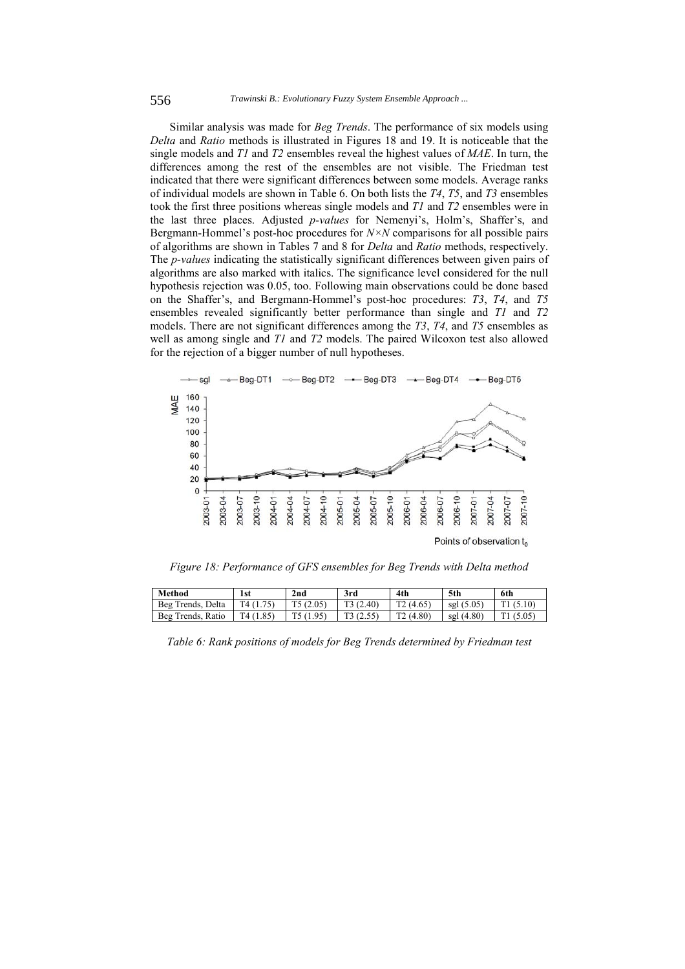Similar analysis was made for *Beg Trends*. The performance of six models using *Delta* and *Ratio* methods is illustrated in Figures 18 and 19. It is noticeable that the single models and *T1* and *T2* ensembles reveal the highest values of *MAE*. In turn, the differences among the rest of the ensembles are not visible. The Friedman test indicated that there were significant differences between some models. Average ranks of individual models are shown in Table 6. On both lists the *T4*, *T5*, and *T3* ensembles took the first three positions whereas single models and *T1* and *T2* ensembles were in the last three places. Adjusted *p-values* for Nemenyi's, Holm's, Shaffer's, and Bergmann-Hommel's post-hoc procedures for *N×N* comparisons for all possible pairs of algorithms are shown in Tables 7 and 8 for *Delta* and *Ratio* methods, respectively. The *p-values* indicating the statistically significant differences between given pairs of algorithms are also marked with italics. The significance level considered for the null hypothesis rejection was 0.05, too. Following main observations could be done based on the Shaffer's, and Bergmann-Hommel's post-hoc procedures: *T3*, *T4*, and *T5* ensembles revealed significantly better performance than single and *T1* and *T2* models. There are not significant differences among the *T3*, *T4*, and *T5* ensembles as well as among single and *T1* and *T2* models. The paired Wilcoxon test also allowed for the rejection of a bigger number of null hypotheses.



*Figure 18: Performance of GFS ensembles for Beg Trends with Delta method* 

| Method                  | 1st                | 2nd    | 3rd    | 4th    | 5th          | 6th |
|-------------------------|--------------------|--------|--------|--------|--------------|-----|
| Beg<br>Delta<br>Trends. | T4 (               | (2.05) | (2.40) | (4.65) | .5.05<br>sgl | ◡   |
| Beg<br>Ratio<br>Trends. | $.85^\circ$<br>.47 |        | (2.55) | (4.80) | sgl(4.80)    |     |

*Table 6: Rank positions of models for Beg Trends determined by Friedman test*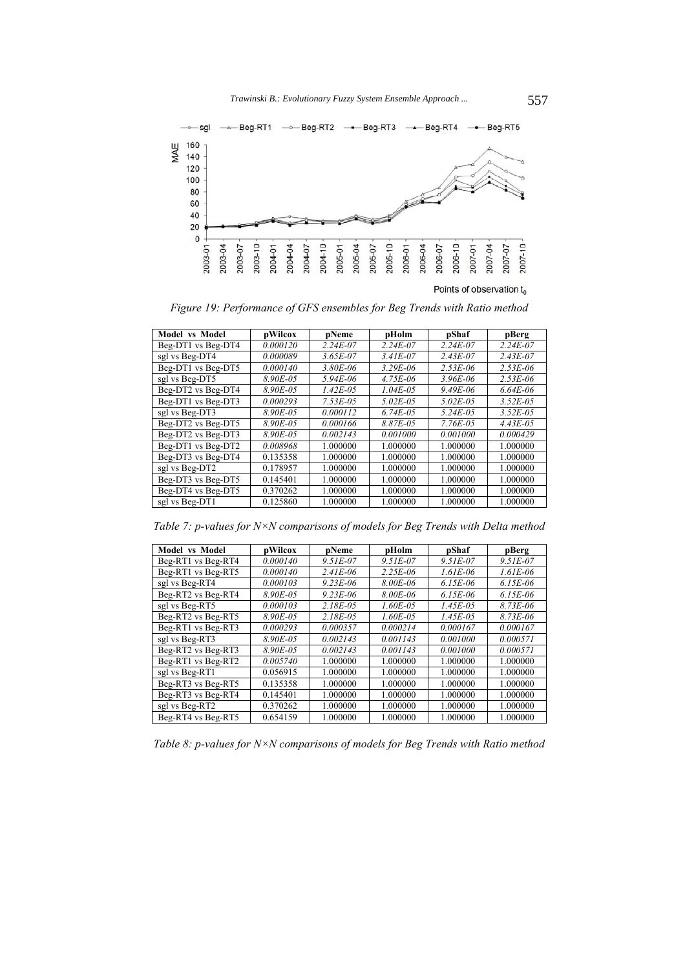

Points of observation  $t_0$ 

*Figure 19: Performance of GFS ensembles for Beg Trends with Ratio method* 

| <b>Model vs Model</b> | pWilcox  | pNeme         | pHolm         | pShaf         | pBerg         |
|-----------------------|----------|---------------|---------------|---------------|---------------|
| Beg-DT1 vs Beg-DT4    | 0.000120 | $2.24E - 07$  | $2.24E - 07$  | $2.24E - 07$  | $2.24E - 07$  |
| sgl vs Beg-DT4        | 0.000089 | $3.65E - 07$  | $3.41E - 07$  | $2.43E - 07$  | $2.43E - 07$  |
| Beg-DT1 vs Beg-DT5    | 0.000140 | $3.80E - 06$  | $3.29E - 06$  | $2.53E - 06$  | $2.53E - 06$  |
| sgl vs Beg-DT5        | 8.90E-05 | $5.94E - 06$  | $4.75E - 06$  | 3.96E-06      | $2.53E - 06$  |
| Beg-DT2 vs Beg-DT4    | 8.90E-05 | $1.42E - 0.5$ | $1.04E - 0.5$ | $9.49E - 06$  | $6.64E - 06$  |
| Beg-DT1 vs Beg-DT3    | 0.000293 | $7.53E - 0.5$ | $5.02E - 0.5$ | $5.02E - 0.5$ | $3.52E - 0.5$ |
| sgl vs Beg-DT3        | 8.90E-05 | 0.000112      | $6.74E - 0.5$ | $5.24E - 0.5$ | $3.52E - 0.5$ |
| Beg-DT2 vs Beg-DT5    | 8.90E-05 | 0.000166      | 8.87E-05      | $7.76E - 0.5$ | $4.43E - 0.5$ |
| Beg-DT2 vs Beg-DT3    | 8.90E-05 | 0.002143      | 0.001000      | 0.001000      | 0.000429      |
| Beg-DT1 vs Beg-DT2    | 0.008968 | 1.000000      | 1.000000      | 1.000000      | 1.000000      |
| Beg-DT3 vs Beg-DT4    | 0.135358 | 1.000000      | 1.000000      | 1.000000      | 1.000000      |
| sgl vs Beg-DT2        | 0.178957 | 1.000000      | 1.000000      | 1.000000      | 1.000000      |
| Beg-DT3 vs Beg-DT5    | 0.145401 | 1.000000      | 1.000000      | 1.000000      | 1.000000      |
| Beg-DT4 vs Beg-DT5    | 0.370262 | 1.000000      | 1.000000      | 1.000000      | 1.000000      |
| sgl vs Beg-DT1        | 0.125860 | 1.000000      | 1.000000      | 1.000000      | 1.000000      |

*Table 7: p-values for N×N comparisons of models for Beg Trends with Delta method* 

| <b>Model vs Model</b> | pWilcox  | pNeme         | pHolm         | pShaf         | pBerg        |
|-----------------------|----------|---------------|---------------|---------------|--------------|
| Beg-RT1 vs Beg-RT4    | 0.000140 | $9.51E - 07$  | $9.51E - 07$  | $9.51E - 07$  | $9.51E - 07$ |
| Beg-RT1 vs Beg-RT5    | 0.000140 | $2.41E - 06$  | $2.25E-06$    | $1.61E - 06$  | $1.61E - 06$ |
| sgl vs Beg-RT4        | 0.000103 | $9.23E - 06$  | 8.00E-06      | $6.15E-06$    | $6.15E-06$   |
| Beg-RT2 vs Beg-RT4    | 8.90E-05 | $9.23E - 06$  | 8.00E-06      | $6.15E-06$    | $6.15E-06$   |
| sgl vs Beg-RT5        | 0.000103 | $2.18E - 0.5$ | $1.60E - 0.5$ | $1.45E - 0.5$ | $8.73E - 06$ |
| Beg-RT2 vs Beg-RT5    | 8.90E-05 | $2.18E - 0.5$ | $1.60E - 0.5$ | $1.45E - 0.5$ | $8.73E - 06$ |
| Beg-RT1 vs Beg-RT3    | 0.000293 | 0.000357      | 0.000214      | 0.000167      | 0.000167     |
| sgl vs Beg-RT3        | 8.90E-05 | 0.002143      | 0.001143      | 0.001000      | 0.000571     |
| Beg-RT2 vs Beg-RT3    | 8.90E-05 | 0.002143      | 0.001143      | 0.001000      | 0.000571     |
| Beg-RT1 vs Beg-RT2    | 0.005740 | 1.000000      | 1.000000      | 1.000000      | 1.000000     |
| sgl vs Beg-RT1        | 0.056915 | 1.000000      | 1.000000      | 1.000000      | 1.000000     |
| Beg-RT3 vs Beg-RT5    | 0.135358 | 1.000000      | 1.000000      | 1.000000      | 1.000000     |
| Beg-RT3 vs Beg-RT4    | 0.145401 | 1.000000      | 1.000000      | 1.000000      | 1.000000     |
| sgl vs Beg-RT2        | 0.370262 | 1.000000      | 1.000000      | 1.000000      | 1.000000     |
| Beg-RT4 vs Beg-RT5    | 0.654159 | 1.000000      | 1.000000      | 1.000000      | 1.000000     |

*Table 8: p-values for N×N comparisons of models for Beg Trends with Ratio method*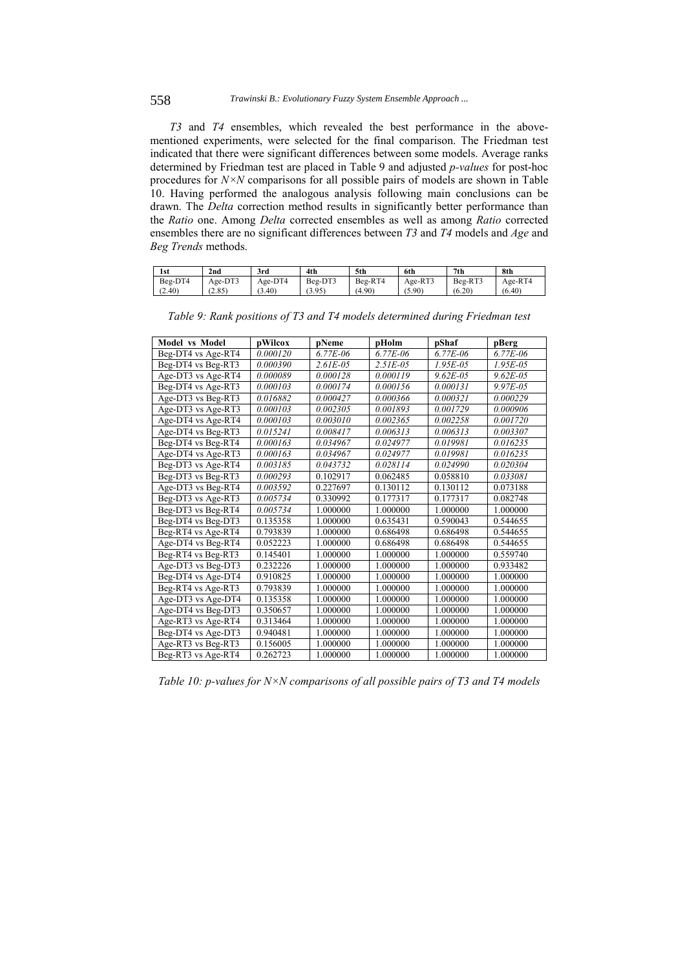*T3* and *T4* ensembles, which revealed the best performance in the abovementioned experiments, were selected for the final comparison. The Friedman test indicated that there were significant differences between some models. Average ranks determined by Friedman test are placed in Table 9 and adjusted *p-values* for post-hoc procedures for *N×N* comparisons for all possible pairs of models are shown in Table 10. Having performed the analogous analysis following main conclusions can be drawn. The *Delta* correction method results in significantly better performance than the *Ratio* one. Among *Delta* corrected ensembles as well as among *Ratio* corrected ensembles there are no significant differences between *T3* and *T4* models and *Age* and *Beg Trends* methods.

| 1st     | 2nd     | 3rd     | 4th     | 5th     | 6th     | 7 <sub>th</sub> | 8th     |
|---------|---------|---------|---------|---------|---------|-----------------|---------|
| Beg-DT4 | Age-DT3 | Age-DT4 | Beg-DT3 | Beg-RT4 | Age-RT3 | Beg-RT3         | Age-RT4 |
| (2.40)  | (2.85)  | .3.40   | (3.95)  | (4.90)  | (5.90)  | (6.20)          | (6.40)  |

| <b>Model vs Model</b> | pWilcox  | pNeme         | pHolm         | pShaf         | pBerg         |
|-----------------------|----------|---------------|---------------|---------------|---------------|
| Beg-DT4 vs Age-RT4    | 0.000120 | $6.77E - 06$  | $6.77E - 06$  | $6.77E - 06$  | $6.77E - 06$  |
| Beg-DT4 vs Beg-RT3    | 0.000390 | $2.61E - 0.5$ | $2.51E - 0.5$ | $1.95E - 0.5$ | $1.95E - 0.5$ |
| Age-DT3 vs Age-RT4    | 0.000089 | 0.000128      | 0.000119      | $9.62E - 05$  | $9.62E - 0.5$ |
| Beg-DT4 vs Age-RT3    | 0.000103 | 0.000174      | 0.000156      | 0.000131      | $9.97E - 0.5$ |
| Age-DT3 vs Beg-RT3    | 0.016882 | 0.000427      | 0.000366      | 0.000321      | 0.000229      |
| Age-DT3 vs Age-RT3    | 0.000103 | 0.002305      | 0.001893      | 0.001729      | 0.000906      |
| Age-DT4 vs Age-RT4    | 0.000103 | 0.003010      | 0.002365      | 0.002258      | 0.001720      |
| Age-DT4 vs Beg-RT3    | 0.015241 | 0.008417      | 0.006313      | 0.006313      | 0.003307      |
| Beg-DT4 vs Beg-RT4    | 0.000163 | 0.034967      | 0.024977      | 0.019981      | 0.016235      |
| Age-DT4 vs Age-RT3    | 0.000163 | 0.034967      | 0.024977      | 0.019981      | 0.016235      |
| Beg-DT3 vs Age-RT4    | 0.003185 | 0.043732      | 0.028114      | 0.024990      | 0.020304      |
| Beg-DT3 vs Beg-RT3    | 0.000293 | 0.102917      | 0.062485      | 0.058810      | 0.033081      |
| Age-DT3 vs Beg-RT4    | 0.003592 | 0.227697      | 0.130112      | 0.130112      | 0.073188      |
| Beg-DT3 vs Age-RT3    | 0.005734 | 0.330992      | 0.177317      | 0.177317      | 0.082748      |
| Beg-DT3 vs Beg-RT4    | 0.005734 | 1.000000      | 1.000000      | 1.000000      | 1.000000      |
| Beg-DT4 vs Beg-DT3    | 0.135358 | 1.000000      | 0.635431      | 0.590043      | 0.544655      |
| Beg-RT4 vs Age-RT4    | 0.793839 | 1.000000      | 0.686498      | 0.686498      | 0.544655      |
| Age-DT4 vs Beg-RT4    | 0.052223 | 1.000000      | 0.686498      | 0.686498      | 0.544655      |
| Beg-RT4 vs Beg-RT3    | 0.145401 | 1.000000      | 1.000000      | 1.000000      | 0.559740      |
| Age-DT3 vs Beg-DT3    | 0.232226 | 1.000000      | 1.000000      | 1.000000      | 0.933482      |
| Beg-DT4 vs Age-DT4    | 0.910825 | 1.000000      | 1.000000      | 1.000000      | 1.000000      |
| Beg-RT4 vs Age-RT3    | 0.793839 | 1.000000      | 1.000000      | 1.000000      | 1.000000      |
| Age-DT3 vs Age-DT4    | 0.135358 | 1.000000      | 1.000000      | 1.000000      | 1.000000      |
| Age-DT4 vs Beg-DT3    | 0.350657 | 1.000000      | 1.000000      | 1.000000      | 1.000000      |
| Age-RT3 vs Age-RT4    | 0.313464 | 1.000000      | 1.000000      | 1.000000      | 1.000000      |
| Beg-DT4 vs Age-DT3    | 0.940481 | 1.000000      | 1.000000      | 1.000000      | 1.000000      |
| Age-RT3 vs Beg-RT3    | 0.156005 | 1.000000      | 1.000000      | 1.000000      | 1.000000      |
| Beg-RT3 vs Age-RT4    | 0.262723 | 1.000000      | 1.000000      | 1.000000      | 1.000000      |

*Table 9: Rank positions of T3 and T4 models determined during Friedman test* 

*Table 10: p-values for N×N comparisons of all possible pairs of T3 and T4 models*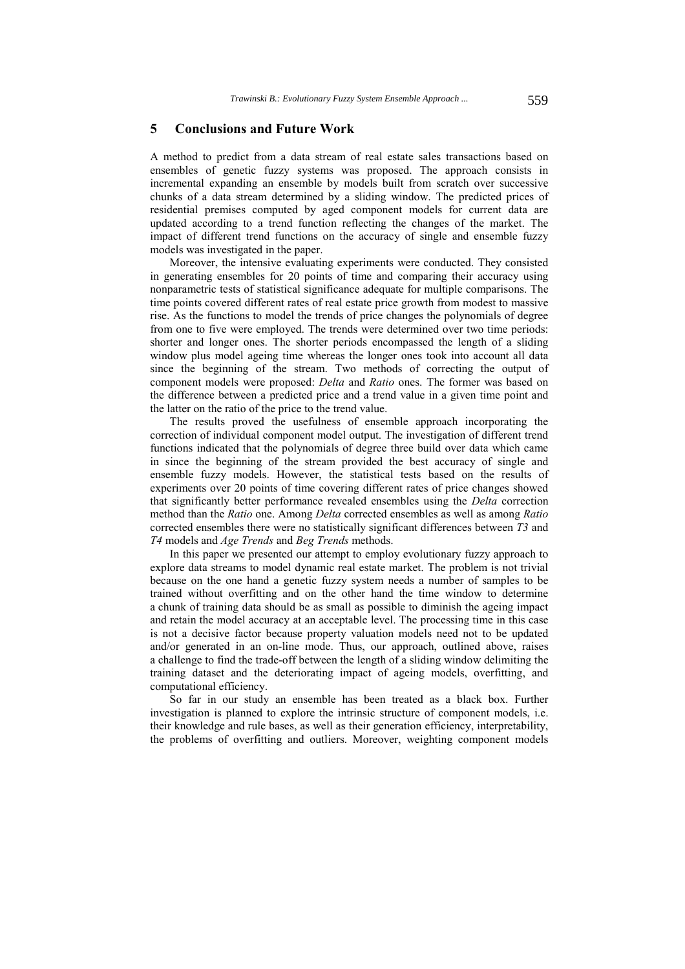### **5 Conclusions and Future Work**

A method to predict from a data stream of real estate sales transactions based on ensembles of genetic fuzzy systems was proposed. The approach consists in incremental expanding an ensemble by models built from scratch over successive chunks of a data stream determined by a sliding window. The predicted prices of residential premises computed by aged component models for current data are updated according to a trend function reflecting the changes of the market. The impact of different trend functions on the accuracy of single and ensemble fuzzy models was investigated in the paper.

Moreover, the intensive evaluating experiments were conducted. They consisted in generating ensembles for 20 points of time and comparing their accuracy using nonparametric tests of statistical significance adequate for multiple comparisons. The time points covered different rates of real estate price growth from modest to massive rise. As the functions to model the trends of price changes the polynomials of degree from one to five were employed. The trends were determined over two time periods: shorter and longer ones. The shorter periods encompassed the length of a sliding window plus model ageing time whereas the longer ones took into account all data since the beginning of the stream. Two methods of correcting the output of component models were proposed: *Delta* and *Ratio* ones. The former was based on the difference between a predicted price and a trend value in a given time point and the latter on the ratio of the price to the trend value.

The results proved the usefulness of ensemble approach incorporating the correction of individual component model output. The investigation of different trend functions indicated that the polynomials of degree three build over data which came in since the beginning of the stream provided the best accuracy of single and ensemble fuzzy models. However, the statistical tests based on the results of experiments over 20 points of time covering different rates of price changes showed that significantly better performance revealed ensembles using the *Delta* correction method than the *Ratio* one. Among *Delta* corrected ensembles as well as among *Ratio* corrected ensembles there were no statistically significant differences between *T3* and *T4* models and *Age Trends* and *Beg Trends* methods.

In this paper we presented our attempt to employ evolutionary fuzzy approach to explore data streams to model dynamic real estate market. The problem is not trivial because on the one hand a genetic fuzzy system needs a number of samples to be trained without overfitting and on the other hand the time window to determine a chunk of training data should be as small as possible to diminish the ageing impact and retain the model accuracy at an acceptable level. The processing time in this case is not a decisive factor because property valuation models need not to be updated and/or generated in an on-line mode. Thus, our approach, outlined above, raises a challenge to find the trade-off between the length of a sliding window delimiting the training dataset and the deteriorating impact of ageing models, overfitting, and computational efficiency.

So far in our study an ensemble has been treated as a black box. Further investigation is planned to explore the intrinsic structure of component models, i.e. their knowledge and rule bases, as well as their generation efficiency, interpretability, the problems of overfitting and outliers. Moreover, weighting component models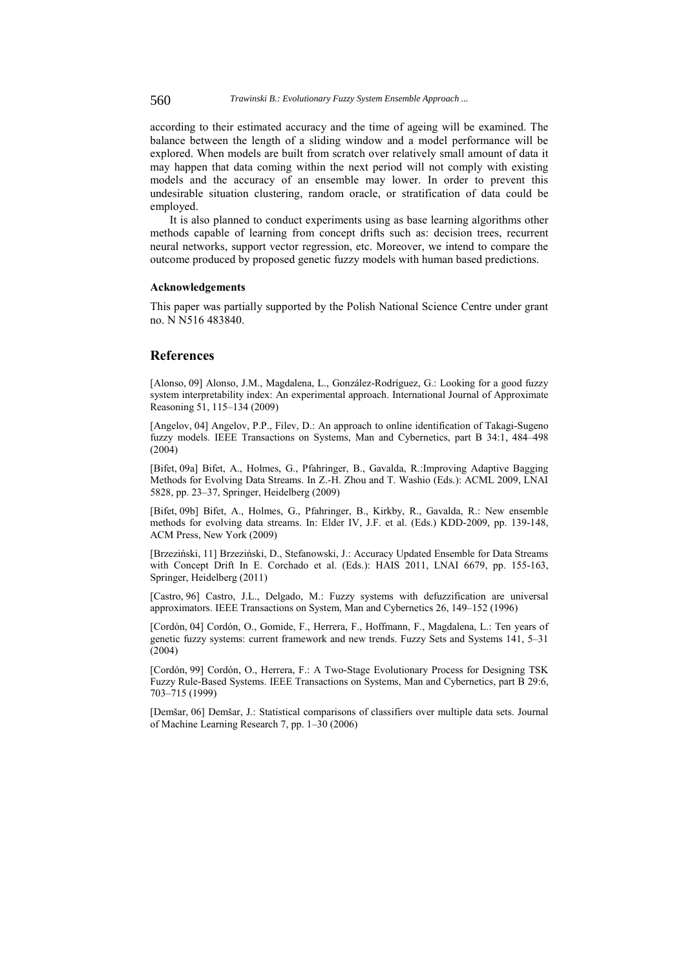560 *Trawinski B.: Evolutionary Fuzzy System Ensemble Approach ...*

according to their estimated accuracy and the time of ageing will be examined. The balance between the length of a sliding window and a model performance will be explored. When models are built from scratch over relatively small amount of data it may happen that data coming within the next period will not comply with existing models and the accuracy of an ensemble may lower. In order to prevent this undesirable situation clustering, random oracle, or stratification of data could be employed.

It is also planned to conduct experiments using as base learning algorithms other methods capable of learning from concept drifts such as: decision trees, recurrent neural networks, support vector regression, etc. Moreover, we intend to compare the outcome produced by proposed genetic fuzzy models with human based predictions.

### **Acknowledgements**

This paper was partially supported by the Polish National Science Centre under grant no. N N516 483840.

### **References**

[Alonso, 09] Alonso, J.M., Magdalena, L., González-Rodríguez, G.: Looking for a good fuzzy system interpretability index: An experimental approach. International Journal of Approximate Reasoning 51, 115–134 (2009)

[Angelov, 04] Angelov, P.P., Filev, D.: An approach to online identification of Takagi-Sugeno fuzzy models. IEEE Transactions on Systems, Man and Cybernetics, part B 34:1, 484–498 (2004)

[Bifet, 09a] Bifet, A., Holmes, G., Pfahringer, B., Gavalda, R.:Improving Adaptive Bagging Methods for Evolving Data Streams. In Z.-H. Zhou and T. Washio (Eds.): ACML 2009, LNAI 5828, pp. 23–37, Springer, Heidelberg (2009)

[Bifet, 09b] Bifet, A., Holmes, G., Pfahringer, B., Kirkby, R., Gavalda, R.: New ensemble methods for evolving data streams. In: Elder IV, J.F. et al. (Eds.) KDD-2009, pp. 139-148, ACM Press, New York (2009)

[Brzeziński, 11] Brzeziński, D., Stefanowski, J.: Accuracy Updated Ensemble for Data Streams with Concept Drift In E. Corchado et al. (Eds.): HAIS 2011, LNAI 6679, pp. 155-163, Springer, Heidelberg (2011)

[Castro, 96] Castro, J.L., Delgado, M.: Fuzzy systems with defuzzification are universal approximators. IEEE Transactions on System, Man and Cybernetics 26, 149–152 (1996)

[Cordón, 04] Cordón, O., Gomide, F., Herrera, F., Hoffmann, F., Magdalena, L.: Ten years of genetic fuzzy systems: current framework and new trends. Fuzzy Sets and Systems 141, 5–31 (2004)

[Cordón, 99] Cordón, O., Herrera, F.: A Two-Stage Evolutionary Process for Designing TSK Fuzzy Rule-Based Systems. IEEE Transactions on Systems, Man and Cybernetics, part B 29:6, 703–715 (1999)

[Demšar, 06] Demšar, J.: Statistical comparisons of classifiers over multiple data sets. Journal of Machine Learning Research 7, pp. 1–30 (2006)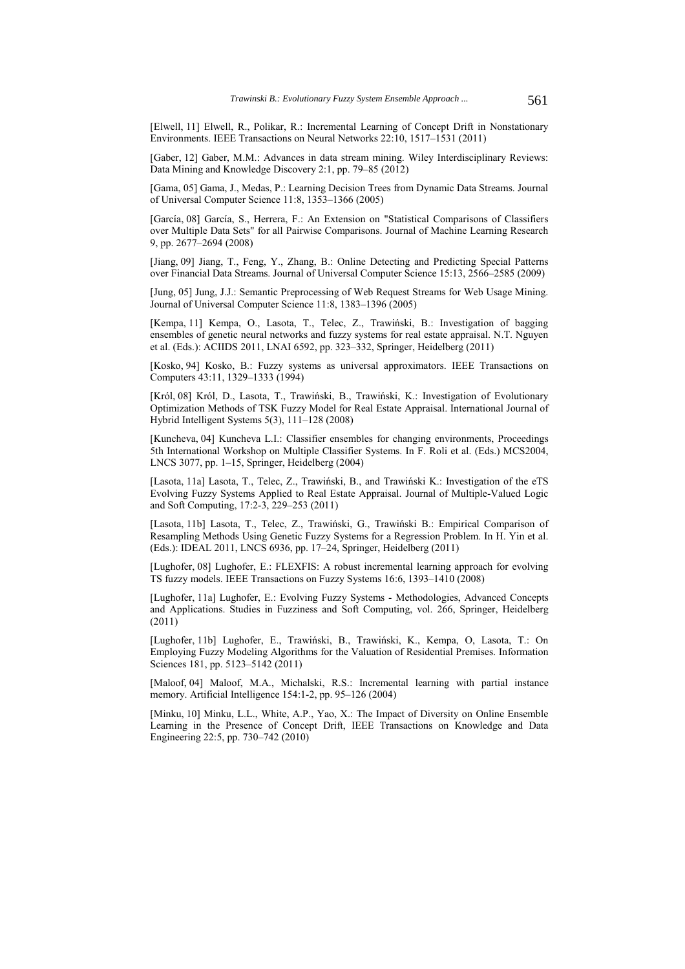[Elwell, 11] Elwell, R., Polikar, R.: Incremental Learning of Concept Drift in Nonstationary Environments. IEEE Transactions on Neural Networks 22:10, 1517–1531 (2011)

[Gaber, 12] Gaber, M.M.: Advances in data stream mining. Wiley Interdisciplinary Reviews: Data Mining and Knowledge Discovery 2:1, pp. 79–85 (2012)

[Gama, 05] Gama, J., Medas, P.: Learning Decision Trees from Dynamic Data Streams. Journal of Universal Computer Science 11:8, 1353–1366 (2005)

[García, 08] García, S., Herrera, F.: An Extension on "Statistical Comparisons of Classifiers over Multiple Data Sets" for all Pairwise Comparisons. Journal of Machine Learning Research 9, pp. 2677–2694 (2008)

[Jiang, 09] Jiang, T., Feng, Y., Zhang, B.: Online Detecting and Predicting Special Patterns over Financial Data Streams. Journal of Universal Computer Science 15:13, 2566–2585 (2009)

[Jung, 05] Jung, J.J.: Semantic Preprocessing of Web Request Streams for Web Usage Mining. Journal of Universal Computer Science 11:8, 1383–1396 (2005)

[Kempa, 11] Kempa, O., Lasota, T., Telec, Z., Trawiński, B.: Investigation of bagging ensembles of genetic neural networks and fuzzy systems for real estate appraisal. N.T. Nguyen et al. (Eds.): ACIIDS 2011, LNAI 6592, pp. 323–332, Springer, Heidelberg (2011)

[Kosko, 94] Kosko, B.: Fuzzy systems as universal approximators. IEEE Transactions on Computers 43:11, 1329–1333 (1994)

[Król, 08] Król, D., Lasota, T., Trawiński, B., Trawiński, K.: Investigation of Evolutionary Optimization Methods of TSK Fuzzy Model for Real Estate Appraisal. International Journal of Hybrid Intelligent Systems 5(3), 111–128 (2008)

[Kuncheva, 04] Kuncheva L.I.: Classifier ensembles for changing environments, Proceedings 5th International Workshop on Multiple Classifier Systems. In F. Roli et al. (Eds.) MCS2004, LNCS 3077, pp.  $1-15$ , Springer, Heidelberg (2004)

[Lasota, 11a] Lasota, T., Telec, Z., Trawiński, B., and Trawiński K.: Investigation of the eTS Evolving Fuzzy Systems Applied to Real Estate Appraisal. Journal of Multiple-Valued Logic and Soft Computing, 17:2-3, 229–253 (2011)

[Lasota, 11b] Lasota, T., Telec, Z., Trawiński, G., Trawiński B.: Empirical Comparison of Resampling Methods Using Genetic Fuzzy Systems for a Regression Problem. In H. Yin et al. (Eds.): IDEAL 2011, LNCS 6936, pp. 17–24, Springer, Heidelberg (2011)

[Lughofer, 08] Lughofer, E.: FLEXFIS: A robust incremental learning approach for evolving TS fuzzy models. IEEE Transactions on Fuzzy Systems 16:6, 1393–1410 (2008)

[Lughofer, 11a] Lughofer, E.: Evolving Fuzzy Systems - Methodologies, Advanced Concepts and Applications. Studies in Fuzziness and Soft Computing, vol. 266, Springer, Heidelberg (2011)

[Lughofer, 11b] Lughofer, E., Trawiński, B., Trawiński, K., Kempa, O, Lasota, T.: On Employing Fuzzy Modeling Algorithms for the Valuation of Residential Premises. Information Sciences 181, pp. 5123–5142 (2011)

[Maloof, 04] Maloof, M.A., Michalski, R.S.: Incremental learning with partial instance memory. Artificial Intelligence 154:1-2, pp. 95–126 (2004)

[Minku, 10] Minku, L.L., White, A.P., Yao, X.: The Impact of Diversity on Online Ensemble Learning in the Presence of Concept Drift, IEEE Transactions on Knowledge and Data Engineering 22:5, pp. 730–742 (2010)